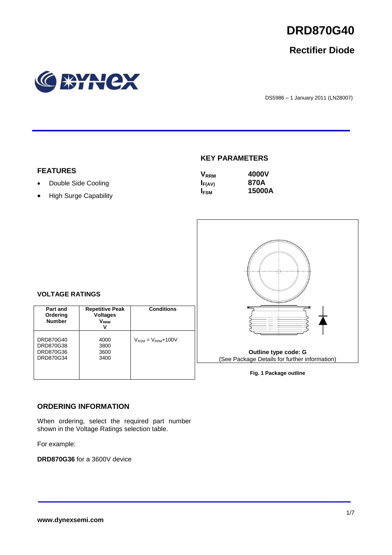

# **Rectifier Diode**



DS5986 – <sup>1</sup> January 2011 (LN28007)

## **KEY PARAMETERS**

| $\mathsf{V}_{\mathsf{RRM}}$ | 4000V  |
|-----------------------------|--------|
| $I_{F(AV)}$                 | 870A   |
| <b>IFSM</b>                 | 15000A |



**Fig. 1 Package outline**

#### **VOLTAGE RATINGS**

**FEATURES**

• Double Side Cooling • High Surge Capability

| Part and<br>Ordering<br><b>Number</b>            | <b>Repetitive Peak</b><br><b>Voltages</b><br>$\mathsf{V}_\mathsf{RRM}$ | <b>Conditions</b>                        |
|--------------------------------------------------|------------------------------------------------------------------------|------------------------------------------|
| DRD870G40<br>DRD870G38<br>DRD870G36<br>DRD870G34 | 4000<br>3800<br>3600<br>3400                                           | $V_{\text{RSM}} = V_{\text{RRM}} + 100V$ |

#### **ORDERING INFORMATION**

When ordering, select the required part number shown in the Voltage Ratings selection table.

For example:

**DRD870G36** for a 3600V device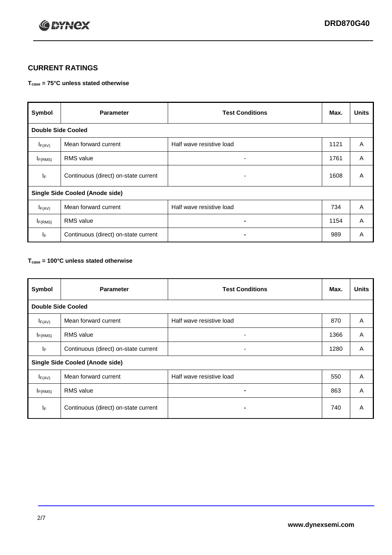

## **CURRENT RATINGS**

#### **Tcase = 75°C unless stated otherwise**

| Symbol                                 | <b>Parameter</b>                     | <b>Test Conditions</b>   | Max. | <b>Units</b> |
|----------------------------------------|--------------------------------------|--------------------------|------|--------------|
| <b>Double Side Cooled</b>              |                                      |                          |      |              |
| $I_{F(AV)}$                            | Mean forward current                 | Half wave resistive load | 1121 | A            |
| $I_{F(RMS)}$                           | <b>RMS</b> value                     | ۰                        | 1761 | A            |
| IF                                     | Continuous (direct) on-state current | ۰                        | 1608 | A            |
| <b>Single Side Cooled (Anode side)</b> |                                      |                          |      |              |
| $I_{F(AV)}$                            | Mean forward current                 | Half wave resistive load | 734  | A            |
| $I_{F(RMS)}$                           | <b>RMS</b> value                     | ۰                        | 1154 | A            |
| IF.                                    | Continuous (direct) on-state current |                          | 989  | A            |

#### **Tcase = 100°C unless stated otherwise**

| Symbol                                 | <b>Parameter</b>                     | <b>Test Conditions</b>   | Max. | <b>Units</b> |
|----------------------------------------|--------------------------------------|--------------------------|------|--------------|
| <b>Double Side Cooled</b>              |                                      |                          |      |              |
| $I_{F(AV)}$                            | Mean forward current                 | Half wave resistive load | 870  | A            |
| $I_{F(RMS)}$                           | <b>RMS</b> value                     | ۰                        | 1366 | A            |
| IF.                                    | Continuous (direct) on-state current | ۰                        | 1280 | A            |
| <b>Single Side Cooled (Anode side)</b> |                                      |                          |      |              |
| $I_{F(AV)}$                            | Mean forward current                 | Half wave resistive load | 550  | A            |
| I <sub>F(RMS)</sub>                    | <b>RMS</b> value                     |                          | 863  | A            |
| IF                                     | Continuous (direct) on-state current | -                        | 740  | A            |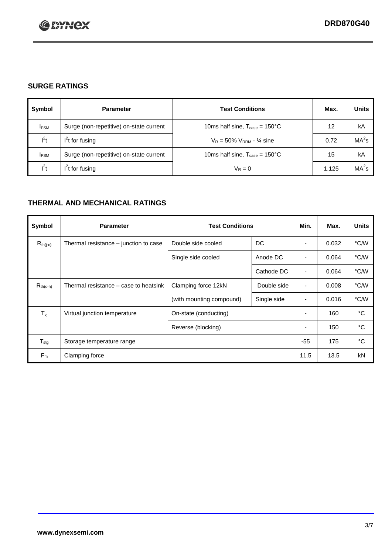

## **SURGE RATINGS**

| Symbol      | <b>Parameter</b>                        | <b>Test Conditions</b>                            | Max.  | <b>Units</b>      |
|-------------|-----------------------------------------|---------------------------------------------------|-------|-------------------|
| <b>IFSM</b> | Surge (non-repetitive) on-state current | 10ms half sine, $T_{\text{case}} = 150^{\circ}$ C | 12    | kA                |
| $l^2t$      | $I2t$ for fusing                        | $V_R = 50\% V_{RRM} - \frac{1}{4}$ sine           | 0.72  | MA <sup>2</sup> s |
| <b>IFSM</b> | Surge (non-repetitive) on-state current | 10ms half sine, $T_{\text{case}} = 150^{\circ}$ C | 15    | kA                |
| $l^2t$      | $l^2$ t for fusing                      | $V_R = 0$                                         | 1.125 | $MA2$ s           |

## **THERMAL AND MECHANICAL RATINGS**

| Symbol           | <b>Parameter</b>                      | <b>Test Conditions</b>   |             | Min.                     | Max.  | <b>Units</b> |
|------------------|---------------------------------------|--------------------------|-------------|--------------------------|-------|--------------|
| $R_{th(j-c)}$    | Thermal resistance – junction to case | Double side cooled       | DC          |                          | 0.032 | °C/W         |
|                  |                                       | Single side cooled       | Anode DC    |                          | 0.064 | °C/W         |
|                  |                                       |                          | Cathode DC  |                          | 0.064 | °C/W         |
| $R_{th(c-h)}$    | Thermal resistance – case to heatsink | Clamping force 12kN      | Double side | ٠                        | 0.008 | °C/W         |
|                  |                                       | (with mounting compound) | Single side | ٠                        | 0.016 | °C/W         |
| $T_{\nu i}$      | Virtual junction temperature          | On-state (conducting)    |             | $\overline{\phantom{a}}$ | 160   | °C           |
|                  |                                       | Reverse (blocking)       |             | $\overline{\phantom{a}}$ | 150   | °C           |
| $T_{\text{stg}}$ | Storage temperature range             |                          |             | $-55$                    | 175   | °C           |
| $F_m$            | Clamping force                        |                          |             | 11.5                     | 13.5  | kN           |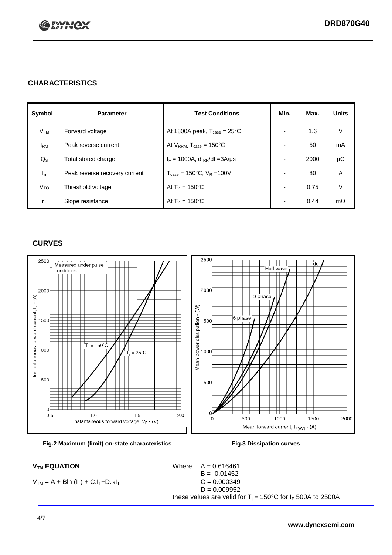

## **CHARACTERISTICS**

| Symbol         | <b>Parameter</b>              | <b>Test Conditions</b>                          | Min.                     | Max. | <b>Units</b> |
|----------------|-------------------------------|-------------------------------------------------|--------------------------|------|--------------|
| $V_{FM}$       | Forward voltage               | At 1800A peak, $T_{\text{case}} = 25^{\circ}C$  |                          | 1.6  | V            |
| <b>I</b> RM    | Peak reverse current          | At $V_{RRM}$ , $T_{case} = 150^{\circ}C$        |                          | 50   | mA           |
| $Q_{\rm S}$    | Total stored charge           | $I_F = 1000A$ , dl <sub>RR</sub> /dt = 3A/us    |                          | 2000 | μC           |
| $I_{rr}$       | Peak reverse recovery current | $T_{\text{case}} = 150^{\circ}$ C, $V_R = 100V$ |                          | 80   | A            |
| $V_{TO}$       | Threshold voltage             | At $T_{\rm{vj}}$ = 150°C                        |                          | 0.75 | V            |
| $r_{\text{T}}$ | Slope resistance              | At $T_{vi}$ = 150°C                             | $\overline{\phantom{0}}$ | 0.44 | $m\Omega$    |

### **CURVES**





 $V_{TM} = A + Bln (I_T) + C.I_T + D.\sqrt{I_T}$   $C = 0.000349$ 

 $V_{TM}$  **EQUATION** Where  $A = 0.616461$  $B = -0.01452$  $D = 0.009952$ these values are valid for  $T_j = 150^{\circ}$ C for  $I_F$  500A to 2500A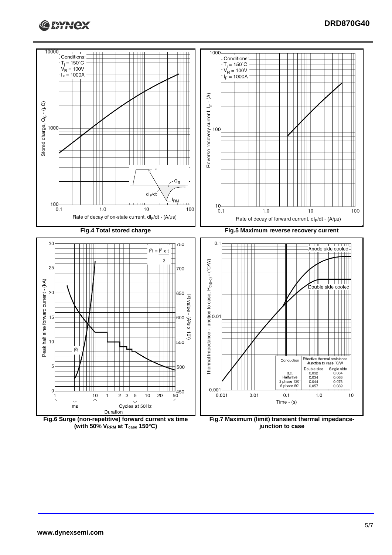



**(with 50% VRRM at Tcase 150°C)**

**junction to case**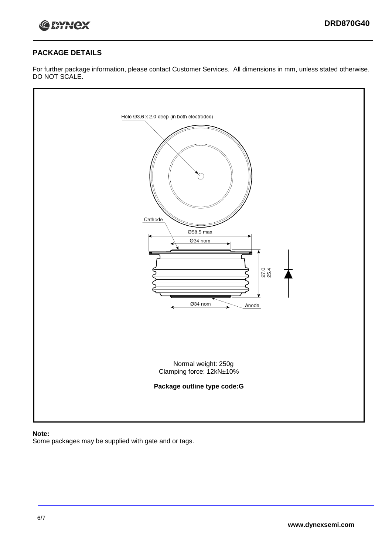

### **PACKAGE DETAILS**

For further package information, please contact Customer Services. All dimensions in mm, unless stated otherwise. DO NOT SCALE.



#### **Note:**

Some packages may be supplied with gate and or tags.